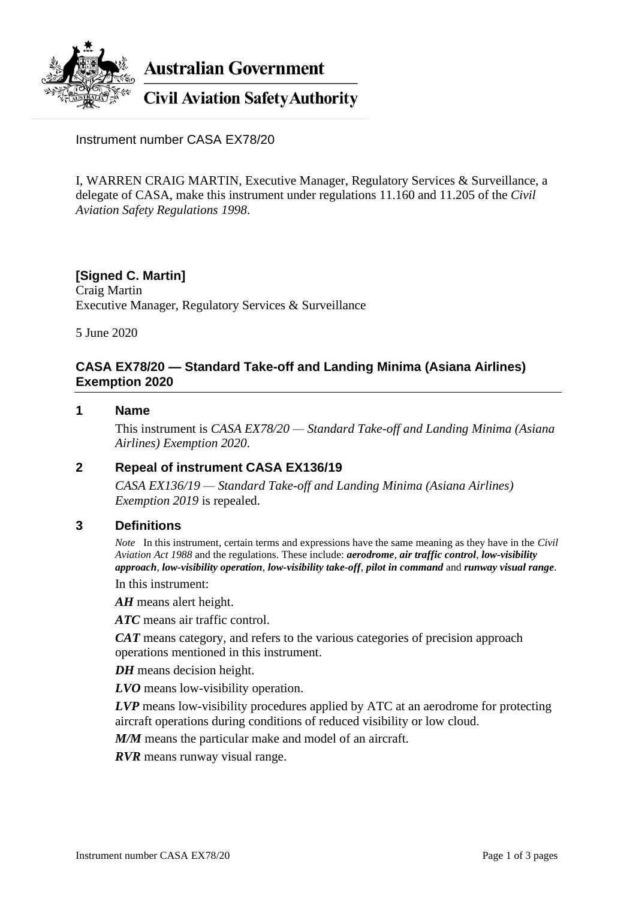

**Australian Government** 

**Civil Aviation Safety Authority** 

Instrument number CASA EX78/20

I, WARREN CRAIG MARTIN, Executive Manager, Regulatory Services & Surveillance, a delegate of CASA, make this instrument under regulations 11.160 and 11.205 of the *Civil Aviation Safety Regulations 1998*.

# **[Signed C. Martin]**

Craig Martin Executive Manager, Regulatory Services & Surveillance

5 June 2020

### **CASA EX78/20 — Standard Take-off and Landing Minima (Asiana Airlines) Exemption 2020**

### **1 Name**

This instrument is *CASA EX78/20 — Standard Take-off and Landing Minima (Asiana Airlines) Exemption 2020*.

### **2 Repeal of instrument CASA EX136/19**

*CASA EX136/19 — Standard Take-off and Landing Minima (Asiana Airlines) Exemption 2019* is repealed.

### **3 Definitions**

*Note* In this instrument, certain terms and expressions have the same meaning as they have in the *Civil Aviation Act 1988* and the regulations. These include: *aerodrome*, *air traffic control*, *low-visibility approach*, *low-visibility operation*, *low-visibility take-off*, *pilot in command* and *runway visual range*.

In this instrument:

*AH* means alert height.

*ATC* means air traffic control.

*CAT* means category, and refers to the various categories of precision approach operations mentioned in this instrument.

*DH* means decision height.

*LVO* means low-visibility operation.

*LVP* means low-visibility procedures applied by ATC at an aerodrome for protecting aircraft operations during conditions of reduced visibility or low cloud.

*M/M* means the particular make and model of an aircraft.

*RVR* means runway visual range.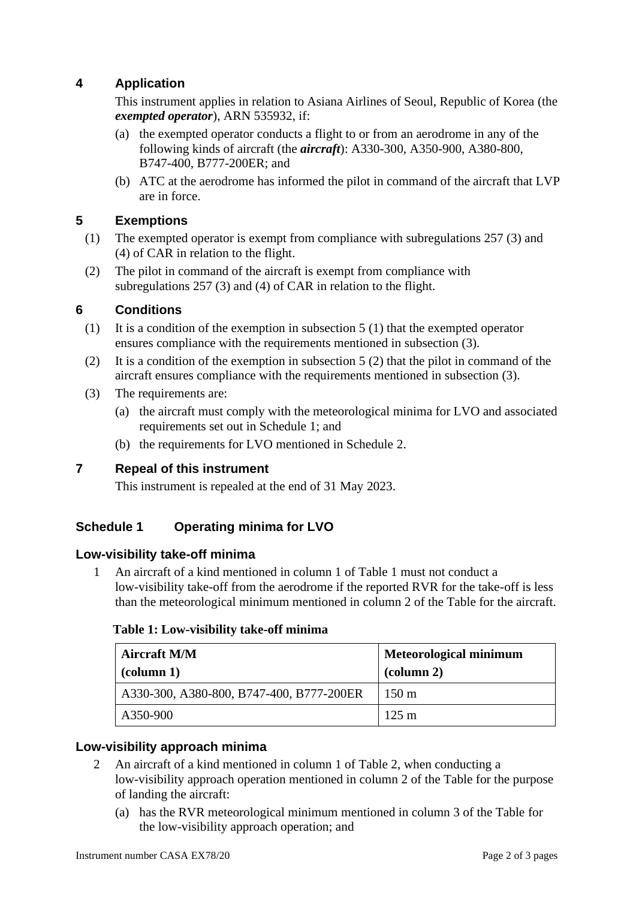## **4 Application**

This instrument applies in relation to Asiana Airlines of Seoul, Republic of Korea (the *exempted operator*), ARN 535932, if:

- (a) the exempted operator conducts a flight to or from an aerodrome in any of the following kinds of aircraft (the *aircraft*): A330-300, A350-900, A380-800, B747-400, B777-200ER; and
- (b) ATC at the aerodrome has informed the pilot in command of the aircraft that LVP are in force.

## **5 Exemptions**

- (1) The exempted operator is exempt from compliance with subregulations 257 (3) and (4) of CAR in relation to the flight.
- (2) The pilot in command of the aircraft is exempt from compliance with subregulations 257 (3) and (4) of CAR in relation to the flight.

## **6 Conditions**

- (1) It is a condition of the exemption in subsection 5 (1) that the exempted operator ensures compliance with the requirements mentioned in subsection (3).
- (2) It is a condition of the exemption in subsection 5 (2) that the pilot in command of the aircraft ensures compliance with the requirements mentioned in subsection (3).
- (3) The requirements are:
	- (a) the aircraft must comply with the meteorological minima for LVO and associated requirements set out in Schedule 1; and
	- (b) the requirements for LVO mentioned in Schedule 2.

## **7 Repeal of this instrument**

This instrument is repealed at the end of 31 May 2023.

## **Schedule 1 Operating minima for LVO**

### **Low-visibility take-off minima**

1 An aircraft of a kind mentioned in column 1 of Table 1 must not conduct a low-visibility take-off from the aerodrome if the reported RVR for the take-off is less than the meteorological minimum mentioned in column 2 of the Table for the aircraft.

### **Table 1: Low-visibility take-off minima**

| <b>Aircraft M/M</b><br>$\left(\text{column } 1\right)$ | <b>Meteorological minimum</b><br>$\alpha$ (column 2) |
|--------------------------------------------------------|------------------------------------------------------|
| A330-300, A380-800, B747-400, B777-200ER               | $150 \text{ m}$                                      |
| A350-900                                               | $125 \text{ m}$                                      |

## **Low-visibility approach minima**

- 2 An aircraft of a kind mentioned in column 1 of Table 2, when conducting a low-visibility approach operation mentioned in column 2 of the Table for the purpose of landing the aircraft:
	- (a) has the RVR meteorological minimum mentioned in column 3 of the Table for the low-visibility approach operation; and